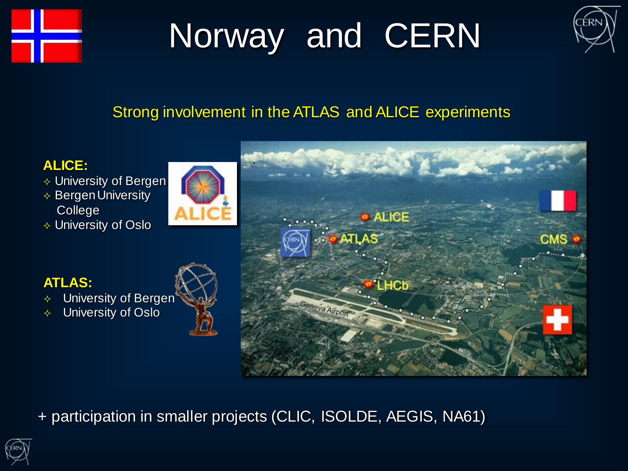

# Norway and CERN



### Strong involvement in the ATLAS and ALICE experiments



- $\Diamond$  University of Bergen
- $\triangle$  Bergen University **College**
- University of Oslo



### **ATLAS:**

- $\div$  University of Bergen<sup>®</sup>
- University of Oslo



+ participation in smaller projects (CLIC, ISOLDE, AEGIS, NA61)

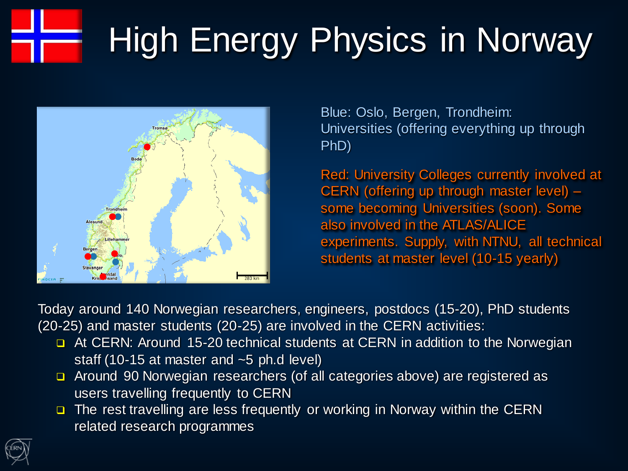# High Energy Physics in Norway



Blue: Oslo, Bergen, Trondheim: Universities (offering everything up through PhD)

Red: University Colleges currently involved at CERN (offering up through master level) – some becoming Universities (soon). Some also involved in the ATLAS/ALICE experiments. Supply, with NTNU, all technical students at master level (10-15 yearly)

Today around 140 Norwegian researchers, engineers, postdocs (15-20), PhD students (20-25) and master students (20-25) are involved in the CERN activities:

- **D** At CERN: Around 15-20 technical students at CERN in addition to the Norwegian staff (10-15 at master and ~5 ph.d level)
- □ Around 90 Norwegian researchers (of all categories above) are registered as users travelling frequently to CERN
- □ The rest travelling are less frequently or working in Norway within the CERN related research programmes

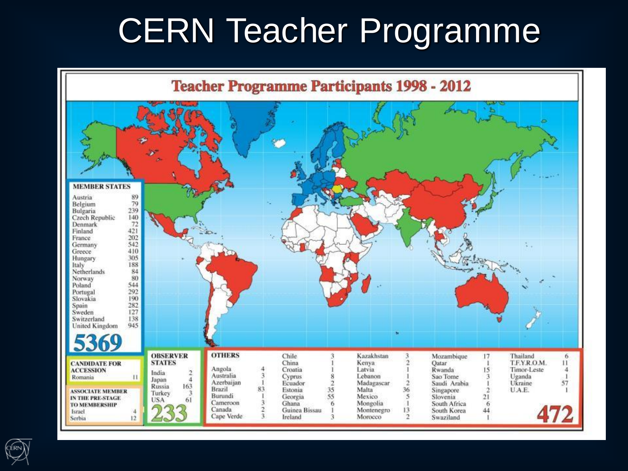## CERN Teacher Programme



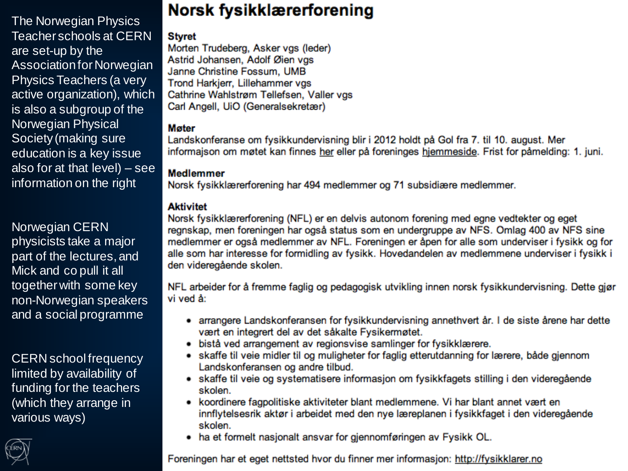The Norwegian Physics Teacher schools at CERN are set-up by the Association for Norwegian Physics Teachers (a very active organization), which is also a subgroup of the Norwegian Physical Society (making sure education is a key issue also for at that level) – see information on the right

Norwegian CERN physicists take a major part of the lectures, and Mick and co pull it all together with some key non-Norwegian speakers and a social programme

CERN school frequency limited by availability of funding for the teachers (which they arrange in various ways)



### Norsk fysikklærerforening

#### **Styret**

Morten Trudeberg, Asker vgs (leder) Astrid Johansen, Adolf Øien vgs Janne Christine Fossum, UMB Trond Harkjerr, Lillehammer vgs Cathrine Wahlstrøm Tellefsen, Valler vgs Carl Angell, UiO (Generalsekretær)

#### **Møter**

Landskonferanse om fysikkundervisning blir i 2012 holdt på Gol fra 7. til 10. august. Mer informajson om møtet kan finnes her eller på foreninges hjemmeside. Frist for påmelding: 1. juni.

#### **Medlemmer**

Norsk fysikklærerforening har 494 medlemmer og 71 subsidiære medlemmer.

#### **Aktivitet**

Norsk fysikklærerforening (NFL) er en delvis autonom forening med egne vedtekter og eget regnskap, men foreningen har også status som en undergruppe av NFS. Omlag 400 av NFS sine medlemmer er også medlemmer av NFL. Foreningen er åpen for alle som underviser i fysikk og for alle som har interesse for formidling av fysikk. Hovedandelen av medlemmene underviser i fysikk i den videregående skolen.

NFL arbeider for å fremme faglig og pedagogisk utvikling innen norsk fysikkundervisning. Dette gjør vi ved å:

- arrangere Landskonferansen for fysikkundervisning annethvert år. I de siste årene har dette vært en integrert del av det såkalte Fysikermøtet.
- · bistå ved arrangement av regionsvise samlinger for fysikklærere.
- · skaffe til veie midler til og muligheter for faglig etterutdanning for lærere, både gjennom Landskonferansen og andre tilbud.
- skaffe til veie og systematisere informasjon om fysikkfagets stilling i den videregående skolen.
- koordinere fagpolitiske aktiviteter blant medlemmene. Vi har blant annet vært en innflytelsesrik aktør i arbeidet med den nye læreplanen i fysikkfaget i den videregående skolen.
- ha et formelt nasjonalt ansvar for gjennomføringen av Fysikk OL.

Foreningen har et eget nettsted hvor du finner mer informasjon: http://fysikklarer.no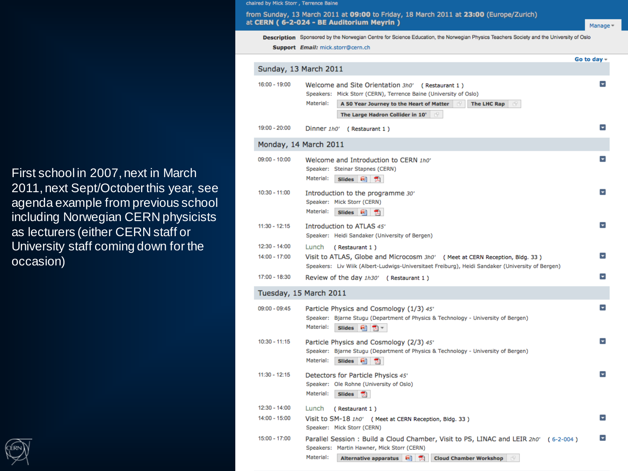First school in 2007, next in March 2011, next Sept/October this year, see agenda example from previous school including Norwegian CERN physicists as lecturers (either CERN staff or University staff coming down for the occasion)



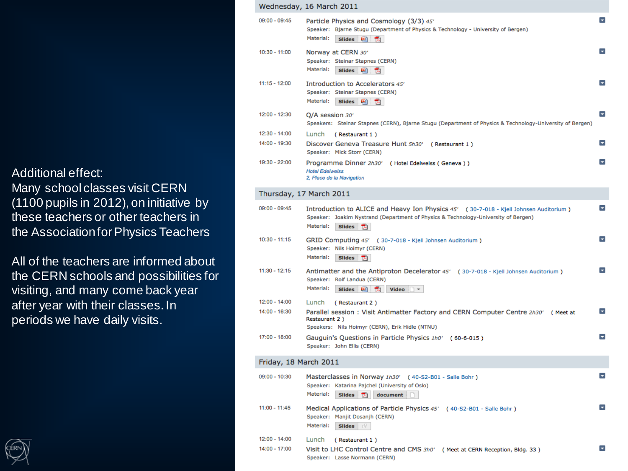Additional effect:

Many school classes visit CERN (1100 pupils in 2012), on initiative by these teachers or other teachers in the Association for Physics Teachers

All of the teachers are informed about the CERN schools and possibilities for visiting, and many come back year after year with their classes. In periods we have daily visits.